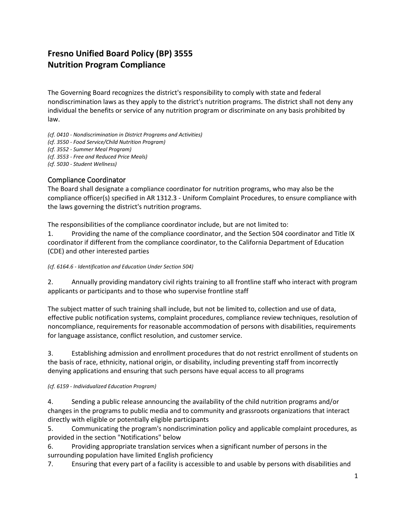# **Fresno Unified Board Policy (BP) 3555 Nutrition Program Compliance**

The Governing Board recognizes the district's responsibility to comply with state and federal nondiscrimination laws as they apply to the district's nutrition programs. The district shall not deny any individual the benefits or service of any nutrition program or discriminate on any basis prohibited by law.

*(cf. 0410 - Nondiscrimination in District Programs and Activities)*

*(cf. 3550 - Food Service/Child Nutrition Program)*

*(cf. 3552 - Summer Meal Program)*

*(cf. 3553 - Free and Reduced Price Meals)*

*(cf. 5030 - Student Wellness)*

### Compliance Coordinator

The Board shall designate a compliance coordinator for nutrition programs, who may also be the compliance officer(s) specified in AR 1312.3 - Uniform Complaint Procedures, to ensure compliance with the laws governing the district's nutrition programs.

The responsibilities of the compliance coordinator include, but are not limited to:

1. Providing the name of the compliance coordinator, and the Section 504 coordinator and Title IX coordinator if different from the compliance coordinator, to the California Department of Education (CDE) and other interested parties

*(cf. 6164.6 - Identification and Education Under Section 504)*

2. Annually providing mandatory civil rights training to all frontline staff who interact with program applicants or participants and to those who supervise frontline staff

The subject matter of such training shall include, but not be limited to, collection and use of data, effective public notification systems, complaint procedures, compliance review techniques, resolution of noncompliance, requirements for reasonable accommodation of persons with disabilities, requirements for language assistance, conflict resolution, and customer service.

3. Establishing admission and enrollment procedures that do not restrict enrollment of students on the basis of race, ethnicity, national origin, or disability, including preventing staff from incorrectly denying applications and ensuring that such persons have equal access to all programs

#### *(cf. 6159 - Individualized Education Program)*

4. Sending a public release announcing the availability of the child nutrition programs and/or changes in the programs to public media and to community and grassroots organizations that interact directly with eligible or potentially eligible participants

5. Communicating the program's nondiscrimination policy and applicable complaint procedures, as provided in the section "Notifications" below

6. Providing appropriate translation services when a significant number of persons in the surrounding population have limited English proficiency

7. Ensuring that every part of a facility is accessible to and usable by persons with disabilities and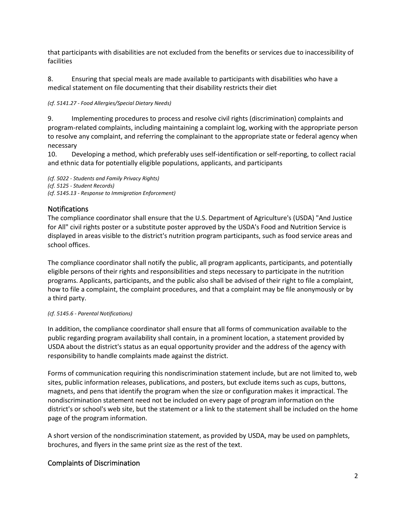that participants with disabilities are not excluded from the benefits or services due to inaccessibility of facilities

8. Ensuring that special meals are made available to participants with disabilities who have a medical statement on file documenting that their disability restricts their diet

*(cf. 5141.27 - Food Allergies/Special Dietary Needs)*

9. Implementing procedures to process and resolve civil rights (discrimination) complaints and program-related complaints, including maintaining a complaint log, working with the appropriate person to resolve any complaint, and referring the complainant to the appropriate state or federal agency when necessary

10. Developing a method, which preferably uses self-identification or self-reporting, to collect racial and ethnic data for potentially eligible populations, applicants, and participants

*(cf. 5022 - Students and Family Privacy Rights) (cf. 5125 - Student Records) (cf. 5145.13 - Response to Immigration Enforcement)*

## Notifications

The compliance coordinator shall ensure that the U.S. Department of Agriculture's (USDA) "And Justice for All" civil rights poster or a substitute poster approved by the USDA's Food and Nutrition Service is displayed in areas visible to the district's nutrition program participants, such as food service areas and school offices.

The compliance coordinator shall notify the public, all program applicants, participants, and potentially eligible persons of their rights and responsibilities and steps necessary to participate in the nutrition programs. Applicants, participants, and the public also shall be advised of their right to file a complaint, how to file a complaint, the complaint procedures, and that a complaint may be file anonymously or by a third party.

### *(cf. 5145.6 - Parental Notifications)*

In addition, the compliance coordinator shall ensure that all forms of communication available to the public regarding program availability shall contain, in a prominent location, a statement provided by USDA about the district's status as an equal opportunity provider and the address of the agency with responsibility to handle complaints made against the district.

Forms of communication requiring this nondiscrimination statement include, but are not limited to, web sites, public information releases, publications, and posters, but exclude items such as cups, buttons, magnets, and pens that identify the program when the size or configuration makes it impractical. The nondiscrimination statement need not be included on every page of program information on the district's or school's web site, but the statement or a link to the statement shall be included on the home page of the program information.

A short version of the nondiscrimination statement, as provided by USDA, may be used on pamphlets, brochures, and flyers in the same print size as the rest of the text.

## Complaints of Discrimination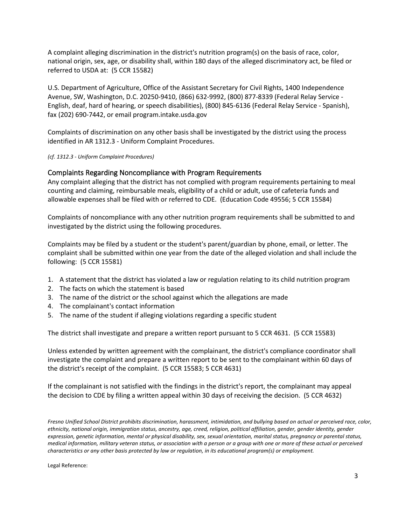A complaint alleging discrimination in the district's nutrition program(s) on the basis of race, color, national origin, sex, age, or disability shall, within 180 days of the alleged discriminatory act, be filed or referred to USDA at: (5 CCR 15582)

U.S. Department of Agriculture, Office of the Assistant Secretary for Civil Rights, 1400 Independence Avenue, SW, Washington, D.C. 20250-9410, (866) 632-9992, (800) 877-8339 (Federal Relay Service - English, deaf, hard of hearing, or speech disabilities), (800) 845-6136 (Federal Relay Service - Spanish), fax (202) 690-7442, or email program.intake.usda.gov

Complaints of discrimination on any other basis shall be investigated by the district using the process identified in AR 1312.3 - Uniform Complaint Procedures.

*(cf. 1312.3 - Uniform Complaint Procedures)*

### Complaints Regarding Noncompliance with Program Requirements

Any complaint alleging that the district has not complied with program requirements pertaining to meal counting and claiming, reimbursable meals, eligibility of a child or adult, use of cafeteria funds and allowable expenses shall be filed with or referred to CDE. (Education Code 49556; 5 CCR 15584)

Complaints of noncompliance with any other nutrition program requirements shall be submitted to and investigated by the district using the following procedures.

Complaints may be filed by a student or the student's parent/guardian by phone, email, or letter. The complaint shall be submitted within one year from the date of the alleged violation and shall include the following: (5 CCR 15581)

- 1. A statement that the district has violated a law or regulation relating to its child nutrition program
- 2. The facts on which the statement is based
- 3. The name of the district or the school against which the allegations are made
- 4. The complainant's contact information
- 5. The name of the student if alleging violations regarding a specific student

The district shall investigate and prepare a written report pursuant to 5 CCR 4631. (5 CCR 15583)

Unless extended by written agreement with the complainant, the district's compliance coordinator shall investigate the complaint and prepare a written report to be sent to the complainant within 60 days of the district's receipt of the complaint. (5 CCR 15583; 5 CCR 4631)

If the complainant is not satisfied with the findings in the district's report, the complainant may appeal the decision to CDE by filing a written appeal within 30 days of receiving the decision. (5 CCR 4632)

*Fresno Unified School District prohibits discrimination, harassment, intimidation, and bullying based on actual or perceived race, color, ethnicity, national origin, immigration status, ancestry, age, creed, religion, political affiliation, gender, gender identity, gender expression, genetic information, mental or physical disability, sex, sexual orientation, marital status, pregnancy or parental status, medical information, military veteran status, or association with a person or a group with one or more of these actual or perceived characteristics or any other basis protected by law or regulation, in its educational program(s) or employment.*

Legal Reference: